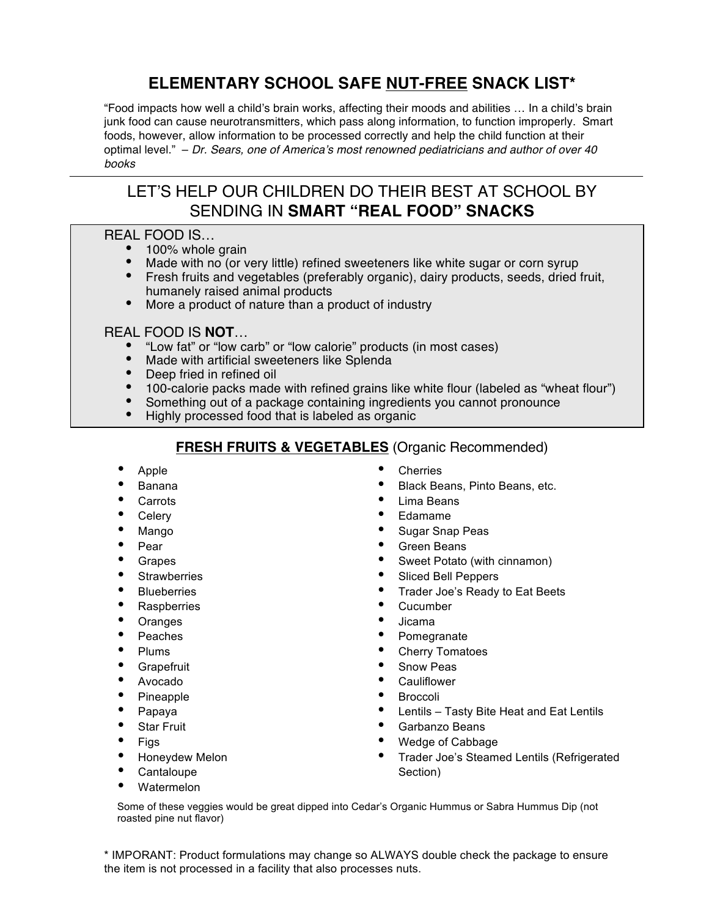# **ELEMENTARY SCHOOL SAFE NUT-FREE SNACK LIST\***

"Food impacts how well a child's brain works, affecting their moods and abilities … In a child's brain junk food can cause neurotransmitters, which pass along information, to function improperly. Smart foods, however, allow information to be processed correctly and help the child function at their optimal level." – *Dr. Sears, one of America's most renowned pediatricians and author of over 40 books*

# LET'S HELP OUR CHILDREN DO THEIR BEST AT SCHOOL BY SENDING IN **SMART "REAL FOOD" SNACKS**

#### REAL FOOD IS…

- 100% whole grain
- Made with no (or very little) refined sweeteners like white sugar or corn syrup
- Fresh fruits and vegetables (preferably organic), dairy products, seeds, dried fruit, humanely raised animal products
- More a product of nature than a product of industry

#### REAL FOOD IS **NOT**…

- "Low fat" or "low carb" or "low calorie" products (in most cases)
- Made with artificial sweeteners like Splenda
- Deep fried in refined oil
- 100-calorie packs made with refined grains like white flour (labeled as "wheat flour")
- Something out of a package containing ingredients you cannot pronounce
- Highly processed food that is labeled as organic

#### **FRESH FRUITS & VEGETABLES** (Organic Recommended)

- Apple
- Banana
- **Carrots**
- **Celery**
- Mango
- Pear
- **Grapes**
- **Strawberries**
- **Blueberries**
- **Raspberries**
- **Oranges**
- Peaches
- Plums
- **Grapefruit**
- Avocado
- Pineapple
- Papaya
- **Star Fruit**
- Figs
- Honeydew Melon
- Cantaloupe
- Watermelon
- **Cherries**
- Black Beans, Pinto Beans, etc.
- Lima Beans
- Edamame
- Sugar Snap Peas
- Green Beans
- Sweet Potato (with cinnamon)
- Sliced Bell Peppers
- Trader Joe's Ready to Eat Beets
- **Cucumber**
- Jicama
- **Pomegranate**
- Cherry Tomatoes
- Snow Peas
- **Cauliflower**
- Broccoli
- Lentils Tasty Bite Heat and Eat Lentils
- Garbanzo Beans
- Wedge of Cabbage
- Trader Joe's Steamed Lentils (Refrigerated Section)

Some of these veggies would be great dipped into Cedar's Organic Hummus or Sabra Hummus Dip (not roasted pine nut flavor)

\* IMPORANT: Product formulations may change so ALWAYS double check the package to ensure the item is not processed in a facility that also processes nuts.